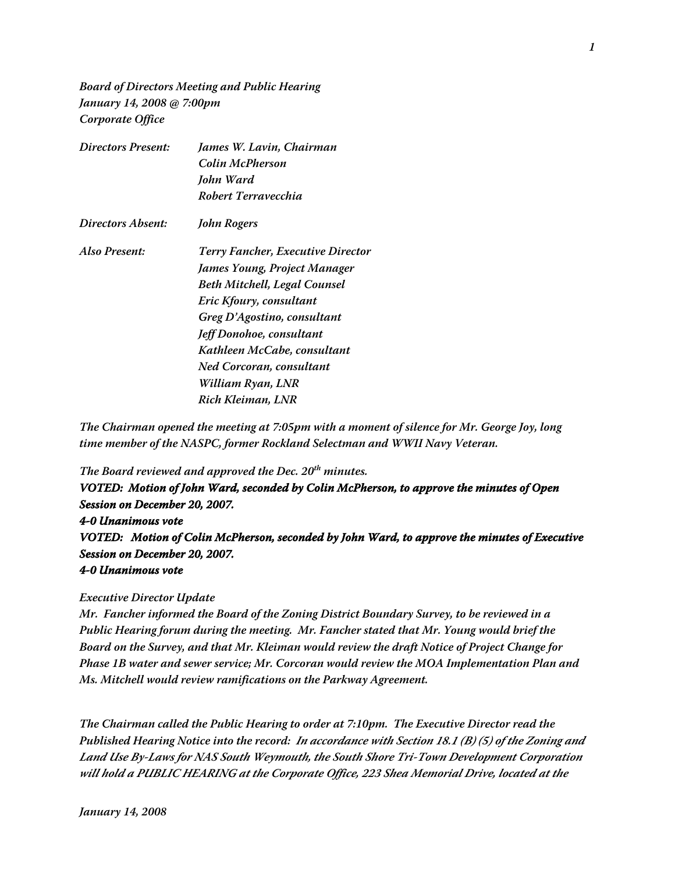**Board of Directors Meeting and Public Hearing January 14, 2008 @ 7:00pm Corporate Office**

| <b>Directors Present:</b> | James W. Lavin, Chairman                 |
|---------------------------|------------------------------------------|
|                           | Colin McPherson                          |
|                           | John Ward                                |
|                           | Robert Terravecchia                      |
| Directors Absent:         | John Rogers                              |
| Also Present:             | <b>Terry Fancher, Executive Director</b> |
|                           | James Young, Project Manager             |
|                           | Beth Mitchell, Legal Counsel             |
|                           | Eric Kfoury, consultant                  |
|                           | Greg D'Agostino, consultant              |
|                           | Jeff Donohoe, consultant                 |
|                           | Kathleen McCabe, consultant              |
|                           | Ned Corcoran, consultant                 |
|                           | William Ryan, LNR                        |
|                           | Rich Kleiman, LNR                        |

**The Chairman opened the meeting at 7:05pm with a moment of silence for Mr. George Joy, long time member of the NASPC, former Rockland Selectman and WWII Navy Veteran.**

**The Board reviewed and approved the Dec. 20th minutes.**

**VOTED: Motion of John Ward, seconded by Colin McPherson, to approve the minutes of Open Session on December 20, 2007. 4-0 Unanimous vote VOTED: Motion of Colin McPherson, seconded by John Ward, to approve the minutes of Executive Session on December 20, 2007. 4-0 Unanimous vote**

#### **Executive Director Update**

**Mr. Fancher informed the Board of the Zoning District Boundary Survey, to be reviewed in a Public Hearing forum during the meeting. Mr. Fancher stated that Mr. Young would brief the Board on the Survey, and that Mr. Kleiman would review the draft Notice of Project Change for Phase 1B water and sewer service; Mr. Corcoran would review the MOA Implementation Plan and Ms. Mitchell would review ramifications on the Parkway Agreement.**

**The Chairman called the Public Hearing to order at 7:10pm. The Executive Director read the Published Hearing Notice into the record: In accordance with Section 18.1 (B) (5) of the Zoning and Land Use By-Laws for NAS South Weymouth, the South Shore Tri-Town Development Corporation will hold a PUBLIC HEARING at the Corporate Office, 223 Shea Memorial Drive, located at the**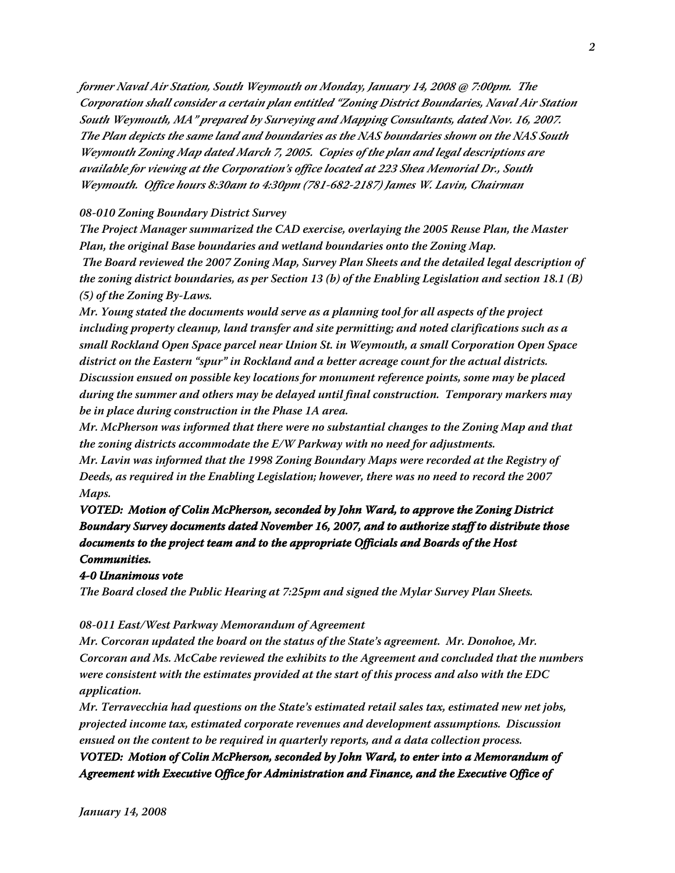**former Naval Air Station, South Weymouth on Monday, January 14, 2008 @ 7:00pm. The Corporation shall consider a certain plan entitled "Zoning District Boundaries, Naval Air Station South Weymouth, MA" prepared by Surveying and Mapping Consultants, dated Nov. 16, 2007. The Plan depicts the same land and boundaries as the NAS boundaries shown on the NAS South Weymouth Zoning Map dated March 7, 2005. Copies of the plan and legal descriptions are available for viewing at the Corporation's office located at 223 Shea Memorial Dr., South Weymouth. Office hours 8:30am to 4:30pm (781-682-2187) James W. Lavin, Chairman**

### **08-010 Zoning Boundary District Survey**

**The Project Manager summarized the CAD exercise, overlaying the 2005 Reuse Plan, the Master Plan, the original Base boundaries and wetland boundaries onto the Zoning Map.**

 **The Board reviewed the 2007 Zoning Map, Survey Plan Sheets and the detailed legal description of the zoning district boundaries, as per Section 13 (b) of the Enabling Legislation and section 18.1 (B) (5) of the Zoning By-Laws.**

**Mr. Young stated the documents would serve as a planning tool for all aspects of the project including property cleanup, land transfer and site permitting; and noted clarifications such as a small Rockland Open Space parcel near Union St. in Weymouth, a small Corporation Open Space district on the Eastern "spur" in Rockland and a better acreage count for the actual districts. Discussion ensued on possible key locations for monument reference points, some may be placed during the summer and others may be delayed until final construction. Temporary markers may be in place during construction in the Phase 1A area.**

**Mr. McPherson was informed that there were no substantial changes to the Zoning Map and that the zoning districts accommodate the E/W Parkway with no need for adjustments.**

**Mr. Lavin was informed that the 1998 Zoning Boundary Maps were recorded at the Registry of Deeds, as required in the Enabling Legislation; however, there was no need to record the 2007 Maps.**

**VOTED: Motion of Colin McPherson, seconded by John Ward, to approve the Zoning District Boundary Survey documents dated November 16, 2007, and to authorize staff to distribute those documents to the project team and to the appropriate Officials and Boards of the Host Communities.**

#### **4-0 Unanimous vote**

**The Board closed the Public Hearing at 7:25pm and signed the Mylar Survey Plan Sheets.**

## **08-011 East/West Parkway Memorandum of Agreement**

**Mr. Corcoran updated the board on the status of the State's agreement. Mr. Donohoe, Mr. Corcoran and Ms. McCabe reviewed the exhibits to the Agreement and concluded that the numbers were consistent with the estimates provided at the start of this process and also with the EDC application.**

**Mr. Terravecchia had questions on the State's estimated retail sales tax, estimated new net jobs, projected income tax, estimated corporate revenues and development assumptions. Discussion ensued on the content to be required in quarterly reports, and a data collection process.**

**VOTED: Motion of Colin McPherson, seconded by John Ward, to enter into a Memorandum of Agreement with Executive Office for Administration and Finance, and the Executive Office of**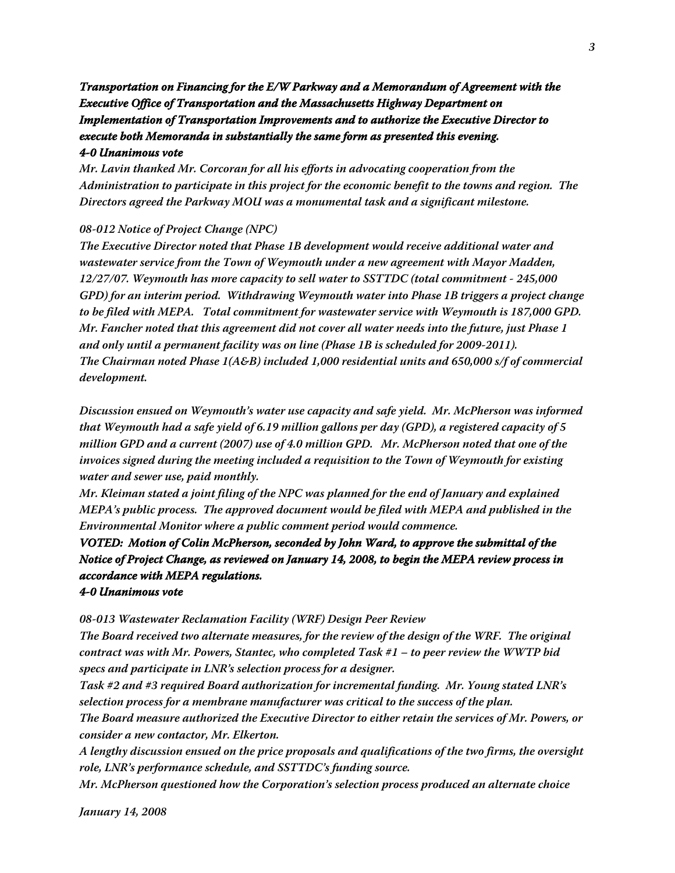# **Transportation on Financing for the E/W Parkway and a Memorandum of Agreement with the Executive Office of Transportation and the Massachusetts Highway Department on Implementation of Transportation Improvements and to authorize the Executive Director to execute both Memoranda in substantially the same form as presented this evening. 4-0 Unanimous vote**

**Mr. Lavin thanked Mr. Corcoran for all his efforts in advocating cooperation from the Administration to participate in this project for the economic benefit to the towns and region. The Directors agreed the Parkway MOU was a monumental task and a significant milestone.**

## **08-012 Notice of Project Change (NPC)**

**The Executive Director noted that Phase 1B development would receive additional water and wastewater service from the Town of Weymouth under a new agreement with Mayor Madden, 12/27/07. Weymouth has more capacity to sell water to SSTTDC (total commitment - 245,000 GPD) for an interim period. Withdrawing Weymouth water into Phase 1B triggers a project change to be filed with MEPA. Total commitment for wastewater service with Weymouth is 187,000 GPD. Mr. Fancher noted that this agreement did not cover all water needs into the future, just Phase 1 and only until a permanent facility was on line (Phase 1B is scheduled for 2009-2011). The Chairman noted Phase 1(A&B) included 1,000 residential units and 650,000 s/f of commercial development.**

**Discussion ensued on Weymouth's water use capacity and safe yield. Mr. McPherson was informed that Weymouth had a safe yield of 6.19 million gallons per day (GPD), a registered capacity of 5 million GPD and a current (2007) use of 4.0 million GPD. Mr. McPherson noted that one of the invoices signed during the meeting included a requisition to the Town of Weymouth for existing water and sewer use, paid monthly.**

**Mr. Kleiman stated a joint filing of the NPC was planned for the end of January and explained MEPA's public process. The approved document would be filed with MEPA and published in the Environmental Monitor where a public comment period would commence.**

# **VOTED: Motion of Colin McPherson, seconded by John Ward, to approve the submittal of the Notice of Project Change, as reviewed on January 14, 2008, to begin the MEPA review process in accordance with MEPA regulations.**

### **4-0 Unanimous vote**

**08-013 Wastewater Reclamation Facility (WRF) Design Peer Review**

**The Board received two alternate measures, for the review of the design of the WRF. The original contract was with Mr. Powers, Stantec, who completed Task #1 – to peer review the WWTP bid specs and participate in LNR's selection process for a designer.**

**Task #2 and #3 required Board authorization for incremental funding. Mr. Young stated LNR's selection process for a membrane manufacturer was critical to the success of the plan.**

**The Board measure authorized the Executive Director to either retain the services of Mr. Powers, or consider a new contactor, Mr. Elkerton.**

**A lengthy discussion ensued on the price proposals and qualifications of the two firms, the oversight role, LNR's performance schedule, and SSTTDC's funding source.**

**Mr. McPherson questioned how the Corporation's selection process produced an alternate choice**

**January 14, 2008**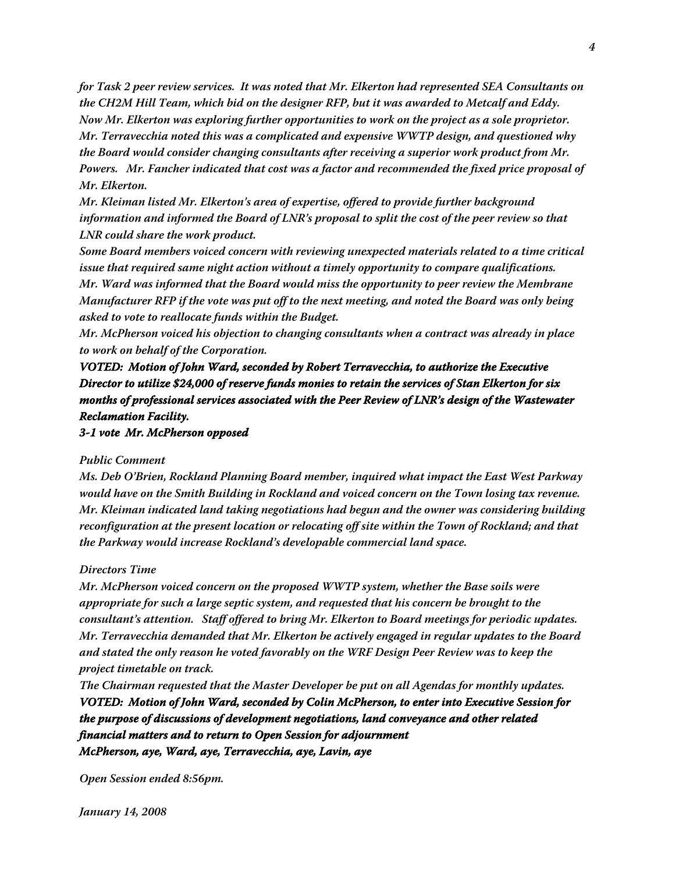**for Task 2 peer review services. It was noted that Mr. Elkerton had represented SEA Consultants on the CH2M Hill Team, which bid on the designer RFP, but it was awarded to Metcalf and Eddy. Now Mr. Elkerton was exploring further opportunities to work on the project as a sole proprietor. Mr. Terravecchia noted this was a complicated and expensive WWTP design, and questioned why the Board would consider changing consultants after receiving a superior work product from Mr. Powers. Mr. Fancher indicated that cost was a factor and recommended the fixed price proposal of Mr. Elkerton.**

**Mr. Kleiman listed Mr. Elkerton's area of expertise, offered to provide further background information and informed the Board of LNR's proposal to split the cost of the peer review so that LNR could share the work product.**

**Some Board members voiced concern with reviewing unexpected materials related to a time critical issue that required same night action without a timely opportunity to compare qualifications. Mr. Ward was informed that the Board would miss the opportunity to peer review the Membrane Manufacturer RFP if the vote was put off to the next meeting, and noted the Board was only being asked to vote to reallocate funds within the Budget.**

**Mr. McPherson voiced his objection to changing consultants when a contract was already in place to work on behalf of the Corporation.**

**VOTED: Motion of John Ward, seconded by Robert Terravecchia, to authorize the Executive Director to utilize \$24,000 of reserve funds monies to retain the services of Stan Elkerton for six months of professional services associated with the Peer Review of LNR's design of the Wastewater Reclamation Facility.**

**3-1 vote Mr. McPherson opposed**

### **Public Comment**

**Ms. Deb O'Brien, Rockland Planning Board member, inquired what impact the East West Parkway would have on the Smith Building in Rockland and voiced concern on the Town losing tax revenue. Mr. Kleiman indicated land taking negotiations had begun and the owner was considering building reconfiguration at the present location or relocating off site within the Town of Rockland; and that the Parkway would increase Rockland's developable commercial land space.**

### **Directors Time**

**Mr. McPherson voiced concern on the proposed WWTP system, whether the Base soils were appropriate for such a large septic system, and requested that his concern be brought to the consultant's attention. Staff offered to bring Mr. Elkerton to Board meetings for periodic updates. Mr. Terravecchia demanded that Mr. Elkerton be actively engaged in regular updates to the Board and stated the only reason he voted favorably on the WRF Design Peer Review was to keep the project timetable on track.**

**The Chairman requested that the Master Developer be put on all Agendas for monthly updates. VOTED: Motion of John Ward, seconded by Colin McPherson, to enter into Executive Session for the purpose of discussions of development negotiations, land conveyance and other related financial matters and to return to Open Session for adjournment McPherson, aye, Ward, aye, Terravecchia, aye, Lavin, aye**

**Open Session ended 8:56pm.**